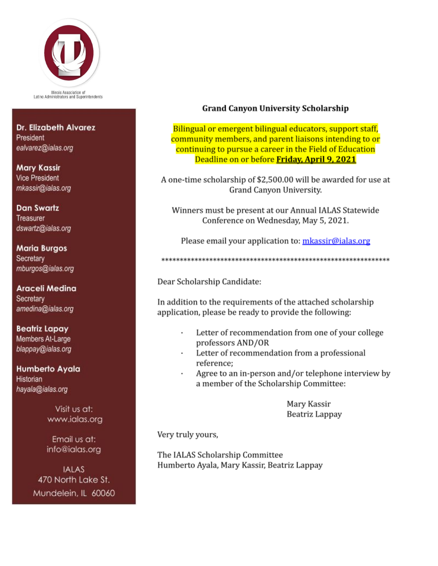

Dr. Elizabeth Alvarez President ealvarez@ialas.org

**Mary Kassir Vice President** mkassir@ialas.org

**Dan Swartz** Treasurer dswartz@ialas.org

**Maria Burgos** Secretary mburgos@ialas.org

Araceli Medina Secretary amedina@ialas.org

**Beatriz Lapay** Members At-Large blappay@ialas.org

Humberto Ayala Historian hayala@ialas.org

> Visit us at: www.ialas.org

Email us at: info@ialas.org

**IALAS** 470 North Lake St. Mundelein, IL 60060

## **Grand Canyon University Scholarship**

Bilingual or emergent bilingual educators, support staff, community members, and parent liaisons intending to or continuing to pursue a career in the Field of Education Deadline on or before Friday, April 9, 2021

A one-time scholarship of \$2,500.00 will be awarded for use at Grand Canyon University.

Winners must be present at our Annual IALAS Statewide Conference on Wednesday, May 5, 2021.

Please email your application to: mkassir@ialas.org

Dear Scholarship Candidate:

In addition to the requirements of the attached scholarship application, please be ready to provide the following:

- Letter of recommendation from one of your college professors AND/OR
- Letter of recommendation from a professional reference:
- Agree to an in-person and/or telephone interview by a member of the Scholarship Committee:

Mary Kassir Beatriz Lappay

Very truly yours,

The IALAS Scholarship Committee Humberto Ayala, Mary Kassir, Beatriz Lappay